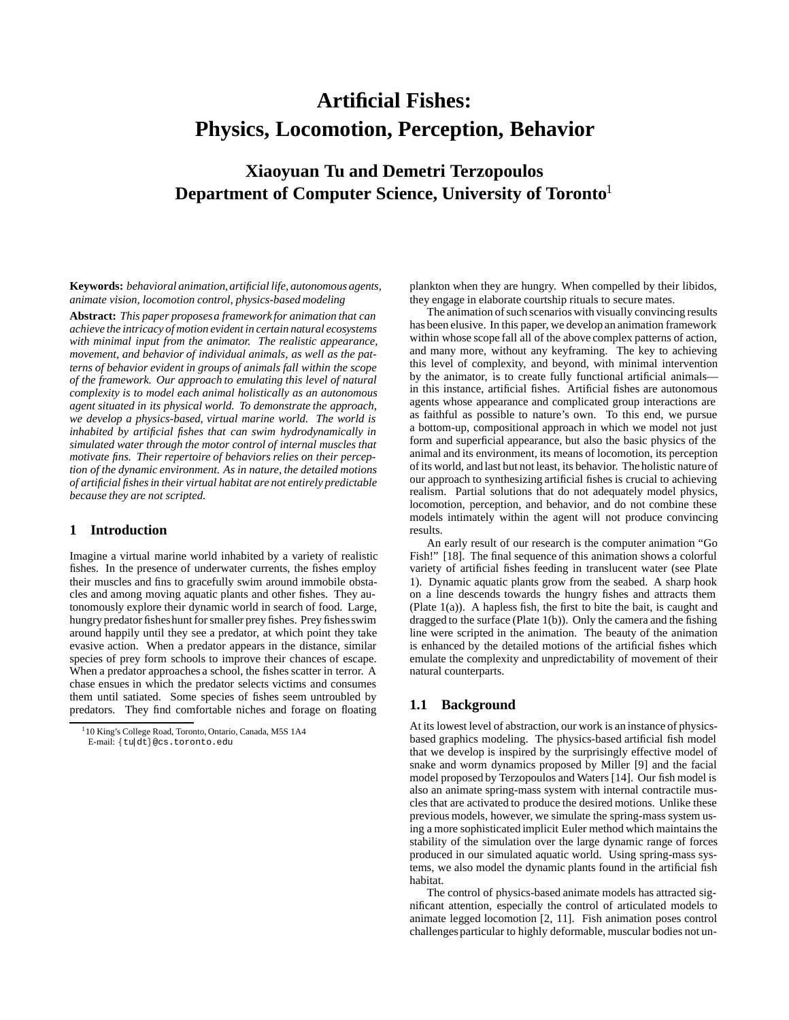# **Artificial Fishes: Physics, Locomotion, Perception, Behavior**

## **Xiaoyuan Tu and Demetri Terzopoulos Department of Computer Science, University of Toronto**<sup>1</sup>

**Keywords:** *behavioral animation,artificial life, autonomous agents, animate vision, locomotion control, physics-based modeling*

**Abstract:** *This paper proposesa framework for animation that can achieve the intricacy of motion evident in certain natural ecosystems with minimal input from the animator. The realistic appearance, movement, and behavior of individual animals, as well as the patterns of behavior evident in groups of animals fall within the scope of the framework. Our approach to emulating this level of natural complexity is to model each animal holistically as an autonomous agent situated in its physical world. To demonstrate the approach, we develop a physics-based, virtual marine world. The world is inhabited by artificial fishes that can swim hydrodynamically in simulated water through the motor control of internal muscles that motivate fins. Their repertoire of behaviors relies on their perception of the dynamic environment. As in nature, the detailed motions of artificial fishes in their virtual habitat are not entirely predictable because they are not scripted.*

## **1 Introduction**

Imagine a virtual marine world inhabited by a variety of realistic fishes. In the presence of underwater currents, the fishes employ their muscles and fins to gracefully swim around immobile obstacles and among moving aquatic plants and other fishes. They autonomously explore their dynamic world in search of food. Large, hungry predator fisheshunt for smaller prey fishes. Prey fishesswim around happily until they see a predator, at which point they take evasive action. When a predator appears in the distance, similar species of prey form schools to improve their chances of escape. When a predator approaches a school, the fishes scatter in terror. A chase ensues in which the predator selects victims and consumes them until satiated. Some species of fishes seem untroubled by predators. They find comfortable niches and forage on floating

plankton when they are hungry. When compelled by their libidos, they engage in elaborate courtship rituals to secure mates.

The animation of such scenarios with visually convincing results has been elusive. In this paper, we develop an animation framework within whose scope fall all of the above complex patterns of action, and many more, without any keyframing. The key to achieving this level of complexity, and beyond, with minimal intervention by the animator, is to create fully functional artificial animals in this instance, artificial fishes. Artificial fishes are autonomous agents whose appearance and complicated group interactions are as faithful as possible to nature's own. To this end, we pursue a bottom-up, compositional approach in which we model not just form and superficial appearance, but also the basic physics of the animal and its environment, its means of locomotion, its perception of its world, and last but not least, its behavior. The holistic nature of our approach to synthesizing artificial fishes is crucial to achieving realism. Partial solutions that do not adequately model physics, locomotion, perception, and behavior, and do not combine these models intimately within the agent will not produce convincing results.

An early result of our research is the computer animation "Go Fish!" [18]. The final sequence of this animation shows a colorful variety of artificial fishes feeding in translucent water (see Plate 1). Dynamic aquatic plants grow from the seabed. A sharp hook on a line descends towards the hungry fishes and attracts them (Plate 1(a)). A hapless fish, the first to bite the bait, is caught and dragged to the surface (Plate 1(b)). Only the camera and the fishing line were scripted in the animation. The beauty of the animation is enhanced by the detailed motions of the artificial fishes which emulate the complexity and unpredictability of movement of their natural counterparts.

## **1.1 Background**

At its lowest level of abstraction, our work is an instance of physicsbased graphics modeling. The physics-based artificial fish model that we develop is inspired by the surprisingly effective model of snake and worm dynamics proposed by Miller [9] and the facial model proposed by Terzopoulos and Waters [14]. Our fish model is also an animate spring-mass system with internal contractile muscles that are activated to produce the desired motions. Unlike these previous models, however, we simulate the spring-mass system using a more sophisticated implicit Euler method which maintains the stability of the simulation over the large dynamic range of forces produced in our simulated aquatic world. Using spring-mass systems, we also model the dynamic plants found in the artificial fish habitat.

The control of physics-based animate models has attracted significant attention, especially the control of articulated models to animate legged locomotion [2, 11]. Fish animation poses control challenges particular to highly deformable, muscular bodies not un-

<sup>1</sup> 10 King's College Road, Toronto, Ontario, Canada, M5S 1A4

E-mail: {tu|dt}@cs.toronto.edu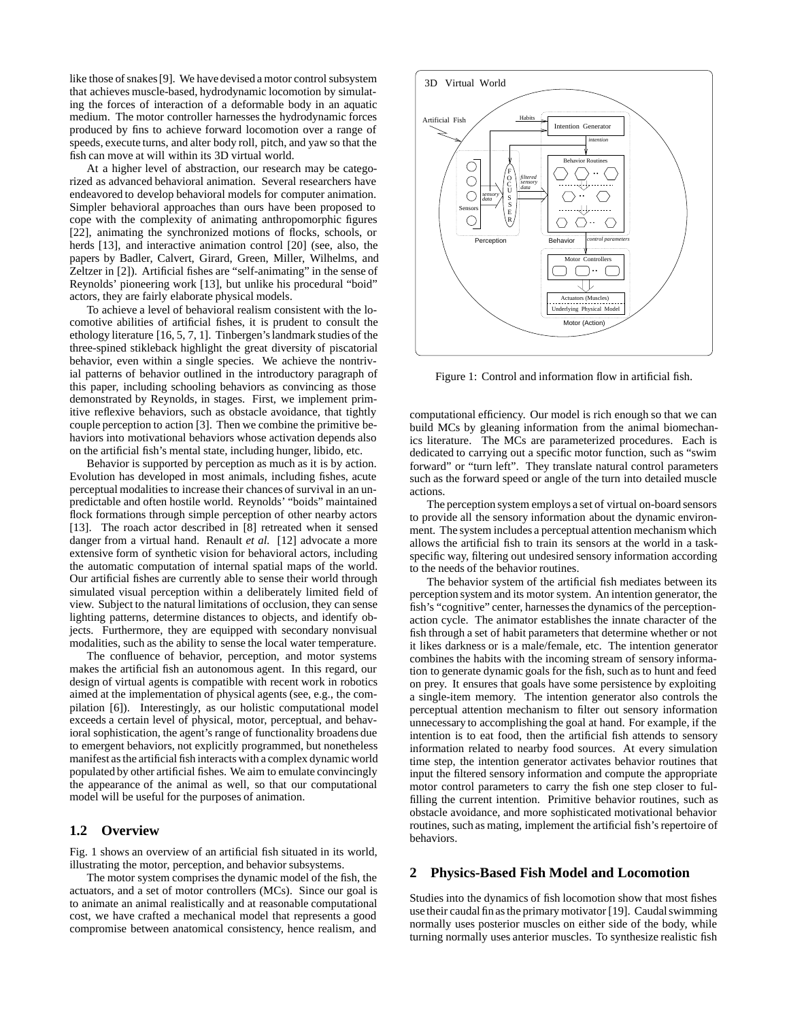like those of snakes [9]. We have devised a motor control subsystem that achieves muscle-based, hydrodynamic locomotion by simulating the forces of interaction of a deformable body in an aquatic medium. The motor controller harnesses the hydrodynamic forces produced by fins to achieve forward locomotion over a range of speeds, execute turns, and alter body roll, pitch, and yaw so that the fish can move at will within its 3D virtual world.

At a higher level of abstraction, our research may be categorized as advanced behavioral animation. Several researchers have endeavored to develop behavioral models for computer animation. Simpler behavioral approaches than ours have been proposed to cope with the complexity of animating anthropomorphic figures [22], animating the synchronized motions of flocks, schools, or herds [13], and interactive animation control [20] (see, also, the papers by Badler, Calvert, Girard, Green, Miller, Wilhelms, and Zeltzer in [2]). Artificial fishes are "self-animating" in the sense of Reynolds' pioneering work [13], but unlike his procedural "boid" actors, they are fairly elaborate physical models.

To achieve a level of behavioral realism consistent with the locomotive abilities of artificial fishes, it is prudent to consult the ethology literature [16, 5, 7, 1]. Tinbergen's landmark studies of the three-spined stikleback highlight the great diversity of piscatorial behavior, even within a single species. We achieve the nontrivial patterns of behavior outlined in the introductory paragraph of this paper, including schooling behaviors as convincing as those demonstrated by Reynolds, in stages. First, we implement primitive reflexive behaviors, such as obstacle avoidance, that tightly couple perception to action [3]. Then we combine the primitive behaviors into motivational behaviors whose activation depends also on the artificial fish's mental state, including hunger, libido, etc.

Behavior is supported by perception as much as it is by action. Evolution has developed in most animals, including fishes, acute perceptual modalities to increase their chances of survival in an unpredictable and often hostile world. Reynolds' "boids" maintained flock formations through simple perception of other nearby actors [13]. The roach actor described in [8] retreated when it sensed danger from a virtual hand. Renault *et al.* [12] advocate a more extensive form of synthetic vision for behavioral actors, including the automatic computation of internal spatial maps of the world. Our artificial fishes are currently able to sense their world through simulated visual perception within a deliberately limited field of view. Subject to the natural limitations of occlusion, they can sense lighting patterns, determine distances to objects, and identify objects. Furthermore, they are equipped with secondary nonvisual modalities, such as the ability to sense the local water temperature.

The confluence of behavior, perception, and motor systems makes the artificial fish an autonomous agent. In this regard, our design of virtual agents is compatible with recent work in robotics aimed at the implementation of physical agents (see, e.g., the compilation [6]). Interestingly, as our holistic computational model exceeds a certain level of physical, motor, perceptual, and behavioral sophistication, the agent's range of functionality broadens due to emergent behaviors, not explicitly programmed, but nonetheless manifest as the artificial fish interacts with a complex dynamic world populated by other artificial fishes. We aim to emulate convincingly the appearance of the animal as well, so that our computational model will be useful for the purposes of animation.

## **1.2 Overview**

Fig. 1 shows an overview of an artificial fish situated in its world, illustrating the motor, perception, and behavior subsystems.

The motor system comprises the dynamic model of the fish, the actuators, and a set of motor controllers (MCs). Since our goal is to animate an animal realistically and at reasonable computational cost, we have crafted a mechanical model that represents a good compromise between anatomical consistency, hence realism, and



Figure 1: Control and information flow in artificial fish.

computational efficiency. Our model is rich enough so that we can build MCs by gleaning information from the animal biomechanics literature. The MCs are parameterized procedures. Each is dedicated to carrying out a specific motor function, such as "swim forward" or "turn left". They translate natural control parameters such as the forward speed or angle of the turn into detailed muscle actions.

The perception system employs a set of virtual on-board sensors to provide all the sensory information about the dynamic environment. The system includes a perceptual attention mechanism which allows the artificial fish to train its sensors at the world in a taskspecific way, filtering out undesired sensory information according to the needs of the behavior routines.

The behavior system of the artificial fish mediates between its perception system and its motor system. An intention generator, the fish's "cognitive" center, harnesses the dynamics of the perceptionaction cycle. The animator establishes the innate character of the fish through a set of habit parameters that determine whether or not it likes darkness or is a male/female, etc. The intention generator combines the habits with the incoming stream of sensory information to generate dynamic goals for the fish, such as to hunt and feed on prey. It ensures that goals have some persistence by exploiting a single-item memory. The intention generator also controls the perceptual attention mechanism to filter out sensory information unnecessary to accomplishing the goal at hand. For example, if the intention is to eat food, then the artificial fish attends to sensory information related to nearby food sources. At every simulation time step, the intention generator activates behavior routines that input the filtered sensory information and compute the appropriate motor control parameters to carry the fish one step closer to fulfilling the current intention. Primitive behavior routines, such as obstacle avoidance, and more sophisticated motivational behavior routines, such as mating, implement the artificial fish's repertoire of behaviors.

#### **2 Physics-Based Fish Model and Locomotion**

Studies into the dynamics of fish locomotion show that most fishes use their caudal fin as the primary motivator [19]. Caudal swimming normally uses posterior muscles on either side of the body, while turning normally uses anterior muscles. To synthesize realistic fish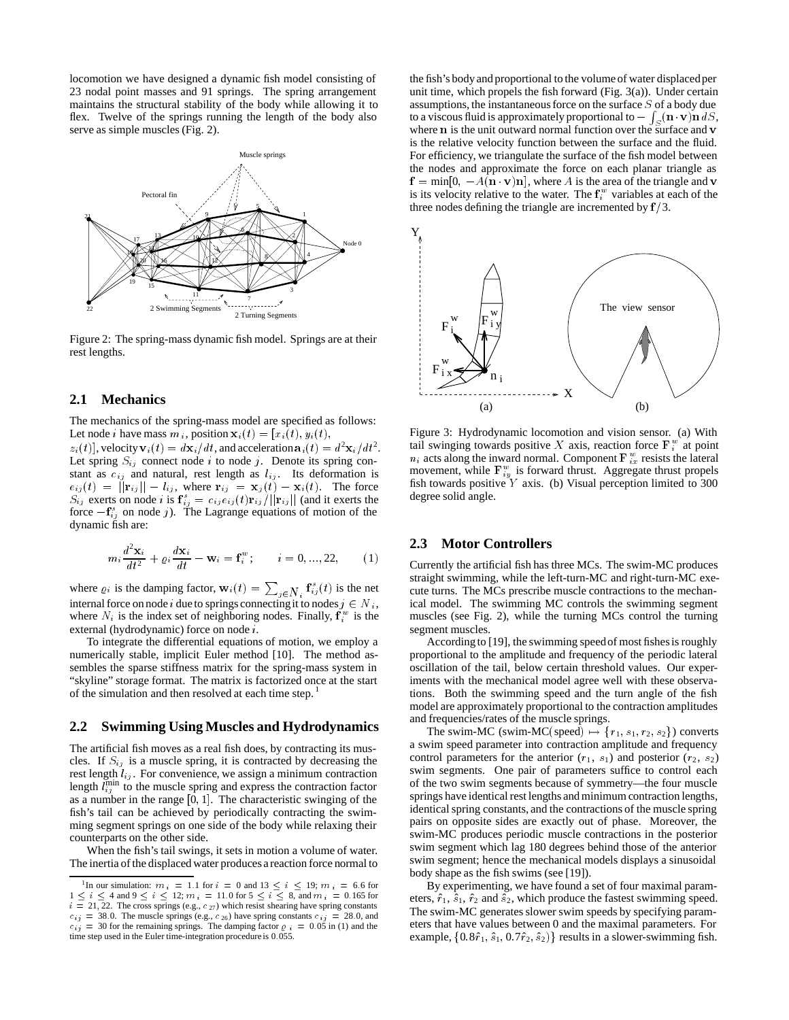locomotion we have designed a dynamic fish model consisting of 23 nodal point masses and 91 springs. The spring arrangement maintains the structural stability of the body while allowing it to flex. Twelve of the springs running the length of the body also serve as simple muscles (Fig. 2).



Figure 2: The spring-mass dynamic fish model. Springs are at their rest lengths.

#### **2.1 Mechanics**

The mechanics of the spring-mass model are specified as follows: Let node *i* have mass  $m_i$ , position  $\mathbf{x}_i(t)=[x_i(t), y_i(t)]$ 

 $z_i(t)$ , velocity  $\mathbf{v}_i(t) = d\mathbf{x}_i/dt$ , and acceleration  $\mathbf{a}_i(t) = d^2\mathbf{x}_i/dt^2$ . Let spring  $S_{ij}$  connect node i to node j. Denote its spring constant as  $c_{ij}$  and natural, rest length as  $l_{ij}$ . Its deformation is  $e_{ij}(t) = ||\mathbf{r}_{ij}|| - l_{ij}$ , where  $\mathbf{r}_{ij} = \mathbf{x}_j(t) - \mathbf{x}_i(t)$ . The force  $S_{ij}$  exerts on node *i* is  $\mathbf{f}_{ij}^s = c_{ij}e_{ij}(t)\mathbf{r}_{ij}/||\mathbf{r}_{ij}||$  (and it exerts the force  $-\mathbf{f}_{i,j}^s$  on node j). The Lagrange equations of motion of the dynamic fish are:

$$
m_i \frac{d^2 \mathbf{x}_i}{dt^2} + \varrho_i \frac{d \mathbf{x}_i}{dt} - \mathbf{w}_i = \mathbf{f}_i^w; \qquad i = 0, \dots, 22, \tag{1}
$$

where  $\varrho_i$  is the damping factor,  $\mathbf{w}_i(t) = \sum_{j \in \mathbb{N}_i} \mathbf{f}_{ij}^s(t)$  is the net internal force on node i due to springs connecting it to nodes  $j \in N_i$ , where  $N_i$  is the index set of neighboring nodes. Finally,  $f_i^w$  is the external (hydrodynamic) force on node i.

To integrate the differential equations of motion, we employ a numerically stable, implicit Euler method [10]. The method assembles the sparse stiffness matrix for the spring-mass system in "skyline" storage format. The matrix is factorized once at the start of the simulation and then resolved at each time step.

#### **2.2 Swimming Using Muscles and Hydrodynamics**

The artificial fish moves as a real fish does, by contracting its muscles. If  $S_{ij}$  is a muscle spring, it is contracted by decreasing the rest length  $l_{ij}$ . For convenience, we assign a minimum contraction length  $\tilde{l}_{ij}^{\min}$  to the muscle spring and express the contraction factor as a number in the range  $[0, 1]$ . The characteristic swinging of the fish's tail can be achieved by periodically contracting the swimming segment springs on one side of the body while relaxing their counterparts on the other side.

When the fish's tail swings, it sets in motion a volume of water. The inertia of the displaced water produces a reaction force normal to

the fish's body and proportional to the volume of water displacedper unit time, which propels the fish forward (Fig. 3(a)). Under certain assumptions, the instantaneous force on the surface  $S$  of a body due to a viscous fluid is approximately proportional to  $-\int_{\mathcal{S}} (\mathbf{n} \cdot \mathbf{v}) \mathbf{n} dS$ , where n is the unit outward normal function over the surface and v is the relative velocity function between the surface and the fluid. For efficiency, we triangulate the surface of the fish model between the nodes and approximate the force on each planar triangle as  $f = min[0, -A(n \cdot v)n]$ , where A is the area of the triangle and v is its velocity relative to the water. The  $f_i^w$  variables at each of the three nodes defining the triangle are incremented by  $f/3$ .



Figure 3: Hydrodynamic locomotion and vision sensor. (a) With tail swinging towards positive X axis, reaction force  $\mathbf{F}_{i}^{w}$  at point  $n_i$  acts along the inward normal. Component  $\mathbf{F}_{ix}^w$  resists the lateral movement, while  $\mathbf{F}_{i\nu}^w$  is forward thrust. Aggregate thrust propels fish towards positive  $Y$  axis. (b) Visual perception limited to 300 degree solid angle.

#### **2.3 Motor Controllers**

Currently the artificial fish has three MCs. The swim-MC produces straight swimming, while the left-turn-MC and right-turn-MC execute turns. The MCs prescribe muscle contractions to the mechanical model. The swimming MC controls the swimming segment muscles (see Fig. 2), while the turning MCs control the turning segment muscles.

According to [19], the swimming speedof most fishes is roughly proportional to the amplitude and frequency of the periodic lateral oscillation of the tail, below certain threshold values. Our experiments with the mechanical model agree well with these observations. Both the swimming speed and the turn angle of the fish model are approximately proportional to the contraction amplitudes and frequencies/rates of the muscle springs.

The swim-MC (swim-MC(speed)  $\mapsto \{r_1, s_1, r_2, s_2\}$ ) converts a swim speed parameter into contraction amplitude and frequency control parameters for the anterior  $(r_1, s_1)$  and posterior  $(r_2, s_2)$ swim segments. One pair of parameters suffice to control each of the two swim segments because of symmetry—the four muscle springs have identical rest lengths and minimum contraction lengths, identical spring constants, and the contractions of the muscle spring pairs on opposite sides are exactly out of phase. Moreover, the swim-MC produces periodic muscle contractions in the posterior swim segment which lag 180 degrees behind those of the anterior swim segment; hence the mechanical models displays a sinusoidal body shape as the fish swims (see [19]).

By experimenting, we have found a set of four maximal parameters,  $\hat{r}_1$ ,  $\hat{s}_1$ ,  $\hat{r}_2$  and  $\hat{s}_2$ , which produce the fastest swimming speed. The swim-MC generates slower swim speeds by specifying parameters that have values between 0 and the maximal parameters. For example,  $\{0.8\hat{r}_1, \hat{s}_1, 0.7\hat{r}_2, \hat{s}_2\}$  results in a slower-swimming fish.

<sup>&</sup>lt;sup>1</sup>In our simulation:  $m_i = 1.1$  for  $i = 0$  and  $13 \le i \le 19$ ;  $m_i = 6.6$  for  $\le i \le 4$  and  $9 \le i \le 12$ ;  $m_i = 11.0$  for  $5 \le i \le 8$ , and  $m_i = 0.165$  for  $i = 21, 22$ . The cross springs (e.g.,  $c_{27}$ ) which resist shearing have spring constants  $c_{ij} = 38.0$ . The muscle springs (e.g.,  $c_{26}$ ) have spring constants  $c_{ij} = 28.0$ , and  $c_{ij} = 30$  for the remaining springs. The damping factor  $\rho_{ij} = 0.05$  in (1) and the time step used in the Euler time-integration procedure is 0:055.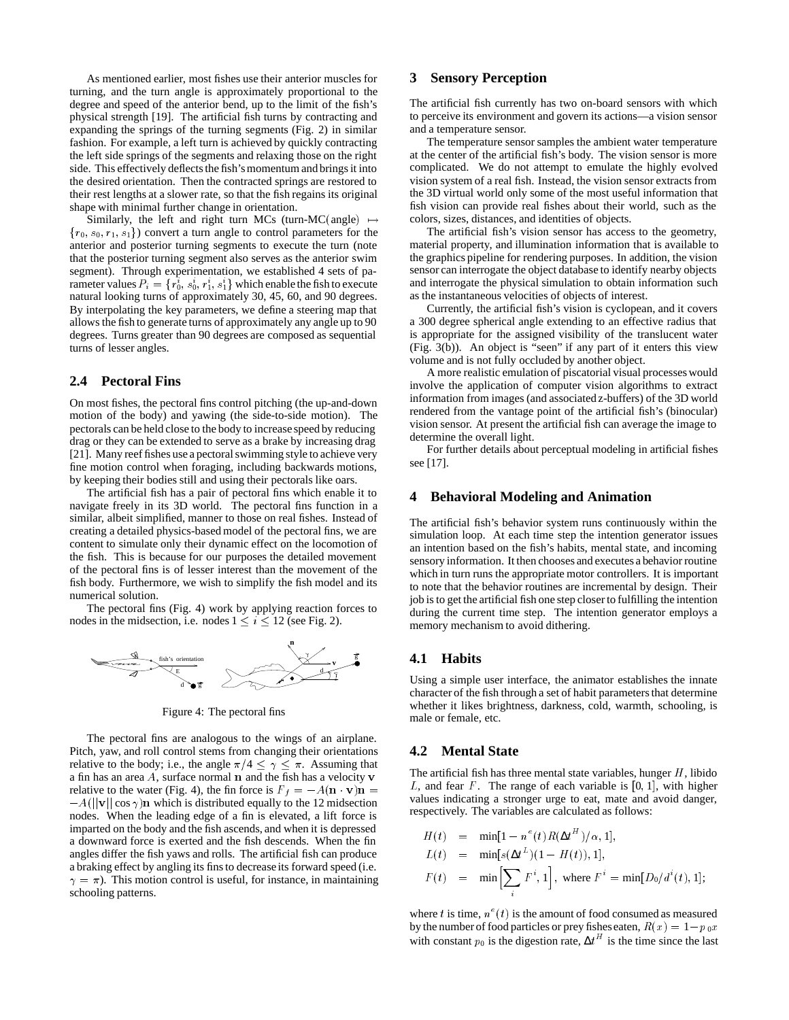As mentioned earlier, most fishes use their anterior muscles for turning, and the turn angle is approximately proportional to the degree and speed of the anterior bend, up to the limit of the fish's physical strength [19]. The artificial fish turns by contracting and expanding the springs of the turning segments (Fig. 2) in similar fashion. For example, a left turn is achieved by quickly contracting the left side springs of the segments and relaxing those on the right side. This effectively deflects the fish's momentum and brings it into the desired orientation. Then the contracted springs are restored to their rest lengths at a slower rate, so that the fish regains its original shape with minimal further change in orientation.

Similarly, the left and right turn MCs (turn-MC(angle)  $\mapsto$  ${r_0, s_0, r_1, s_1}$  convert a turn angle to control parameters for the anterior and posterior turning segments to execute the turn (note that the posterior turning segment also serves as the anterior swim segment). Through experimentation, we established 4 sets of parameter values  $P_i = \{r_0^i, s_0^i, r_1^i, s_1^i\}$  which enable the fish to execute natural looking turns of approximately 30, 45, 60, and 90 degrees. By interpolating the key parameters, we define a steering map that allows the fish to generate turns of approximately any angle up to 90 degrees. Turns greater than 90 degrees are composed as sequential turns of lesser angles.

## **2.4 Pectoral Fins**

On most fishes, the pectoral fins control pitching (the up-and-down motion of the body) and yawing (the side-to-side motion). The pectorals can be held close to the body to increase speed by reducing drag or they can be extended to serve as a brake by increasing drag [21]. Many reef fishes use a pectoral swimming style to achieve very fine motion control when foraging, including backwards motions, by keeping their bodies still and using their pectorals like oars.

The artificial fish has a pair of pectoral fins which enable it to navigate freely in its 3D world. The pectoral fins function in a similar, albeit simplified, manner to those on real fishes. Instead of creating a detailed physics-based model of the pectoral fins, we are content to simulate only their dynamic effect on the locomotion of the fish. This is because for our purposes the detailed movement of the pectoral fins is of lesser interest than the movement of the fish body. Furthermore, we wish to simplify the fish model and its numerical solution.

The pectoral fins (Fig. 4) work by applying reaction forces to nodes in the midsection, i.e. nodes  $1 \le i \le 12$  (see Fig. 2).



Figure 4: The pectoral fins

The pectoral fins are analogous to the wings of an airplane. Pitch, yaw, and roll control stems from changing their orientations relative to the body; i.e., the angle  $\pi/4 \leq \gamma \leq \pi$ . Assuming that a fin has an area  $A$ , surface normal  $n$  and the fish has a velocity  $v$ relative to the water (Fig. 4), the fin force is  $F_f = -A(\mathbf{n} \cdot \mathbf{v})\mathbf{n} =$  $-A(||v||\cos \gamma)$  m which is distributed equally to the 12 midsection nodes. When the leading edge of a fin is elevated, a lift force is imparted on the body and the fish ascends, and when it is depressed a downward force is exerted and the fish descends. When the fin angles differ the fish yaws and rolls. The artificial fish can produce a braking effect by angling its fins to decrease its forward speed (i.e.  $\gamma = \pi$ ). This motion control is useful, for instance, in maintaining schooling patterns.

## **3 Sensory Perception**

The artificial fish currently has two on-board sensors with which to perceive its environment and govern its actions—a vision sensor and a temperature sensor.

The temperature sensor samples the ambient water temperature at the center of the artificial fish's body. The vision sensor is more complicated. We do not attempt to emulate the highly evolved vision system of a real fish. Instead, the vision sensor extracts from the 3D virtual world only some of the most useful information that fish vision can provide real fishes about their world, such as the colors, sizes, distances, and identities of objects.

The artificial fish's vision sensor has access to the geometry, material property, and illumination information that is available to the graphics pipeline for rendering purposes. In addition, the vision sensor can interrogate the object database to identify nearby objects and interrogate the physical simulation to obtain information such as the instantaneous velocities of objects of interest.

Currently, the artificial fish's vision is cyclopean, and it covers a 300 degree spherical angle extending to an effective radius that is appropriate for the assigned visibility of the translucent water (Fig. 3(b)). An object is "seen" if any part of it enters this view volume and is not fully occluded by another object.

A more realistic emulation of piscatorial visual processes would involve the application of computer vision algorithms to extract information from images (and associated z-buffers) of the 3D world rendered from the vantage point of the artificial fish's (binocular) vision sensor. At present the artificial fish can average the image to determine the overall light.

For further details about perceptual modeling in artificial fishes see [17].

## **4 Behavioral Modeling and Animation**

The artificial fish's behavior system runs continuously within the simulation loop. At each time step the intention generator issues an intention based on the fish's habits, mental state, and incoming sensory information. It then chooses and executes a behavior routine which in turn runs the appropriate motor controllers. It is important to note that the behavior routines are incremental by design. Their job is to get the artificial fish one step closer to fulfilling the intention during the current time step. The intention generator employs a memory mechanism to avoid dithering.

#### **4.1 Habits**

Using a simple user interface, the animator establishes the innate character of the fish through a set of habit parameters that determine whether it likes brightness, darkness, cold, warmth, schooling, is male or female, etc.

## **4.2 Mental State**

The artificial fish has three mental state variables, hunger  $H$ , libido L, and fear  $F$ . The range of each variable is  $[0, 1]$ , with higher values indicating a stronger urge to eat, mate and avoid danger, respectively. The variables are calculated as follows:

$$
H(t) = \min[1 - n^{e}(t)R(\Delta t^{H})/\alpha, 1],
$$
  
\n
$$
L(t) = \min[s(\Delta t^{L})(1 - H(t)), 1],
$$
  
\n
$$
F(t) = \min[\sum_{i} F^{i}, 1], \text{ where } F^{i} = \min[D_{0}/d^{i}(t), 1];
$$

where t is time,  $n^e(t)$  is the amount of food consumed as measured by the number of food particles or prey fishes eaten,  $R(x) = 1 - p_0 x$ with constant  $p_0$  is the digestion rate,  $\Delta t^H$  is the time since the last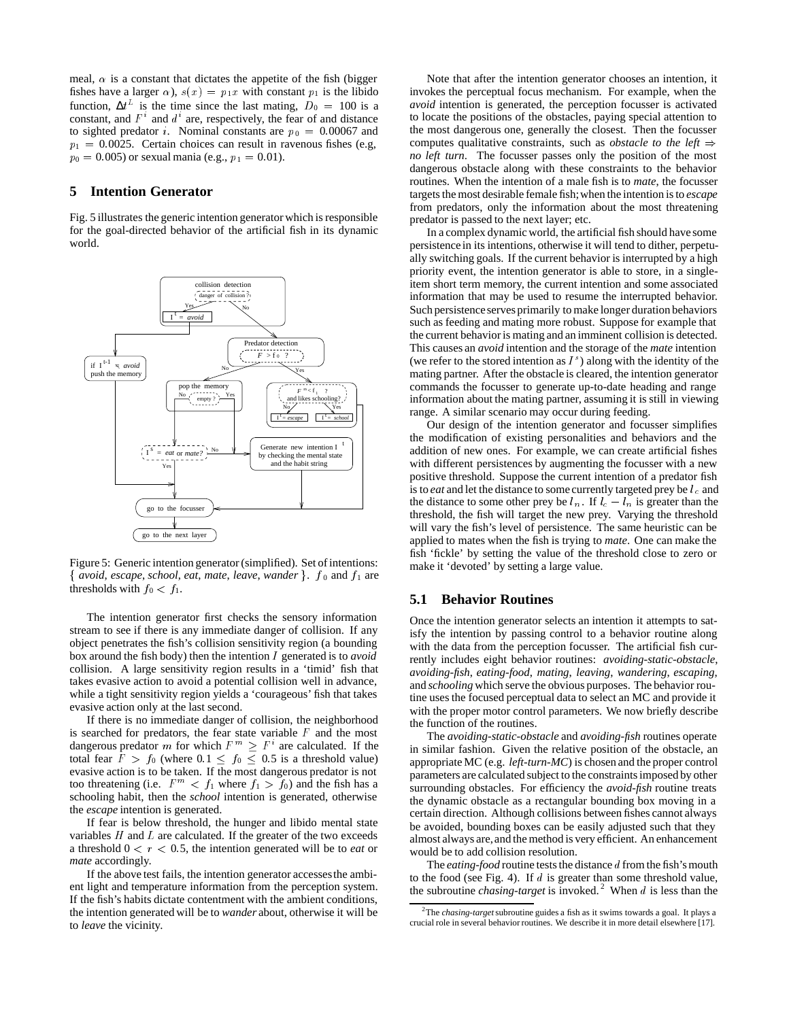meal,  $\alpha$  is a constant that dictates the appetite of the fish (bigger fishes have a larger  $\alpha$ ),  $s(x) = p_1x$  with constant  $p_1$  is the libido function,  $\Delta t^L$  is the time since the last mating,  $D_0 = 100$  is a constant, and  $F^*$  and  $d^*$  are, respectively, the fear of and distance to sighted predator *i*. Nominal constants are  $p_0 = 0.00067$  and  $p_1 = 0.0025$ . Certain choices can result in ravenous fishes (e.g,  $p_0 = 0.005$ ) or sexual mania (e.g.,  $p_1 = 0.01$ ).

## **5 Intention Generator**

Fig. 5 illustrates the generic intention generator which is responsible for the goal-directed behavior of the artificial fish in its dynamic world.



Figure 5: Generic intention generator (simplified). Set of intentions:  $\{$  *avoid, escape, school, eat, mate, leave, wander*  $\}$ .  $f_0$  and  $f_1$  are thresholds with  $f_0 < f_1$ .

The intention generator first checks the sensory information stream to see if there is any immediate danger of collision. If any object penetrates the fish's collision sensitivity region (a bounding box around the fish body) then the intention I generated is to *avoid* collision. A large sensitivity region results in a 'timid' fish that takes evasive action to avoid a potential collision well in advance, while a tight sensitivity region yields a 'courageous' fish that takes evasive action only at the last second.

If there is no immediate danger of collision, the neighborhood is searched for predators, the fear state variable  $F$  and the most dangerous predator m for which  $F^m \geq F^*$  are calculated. If the total fear  $\dot{F} > f_0$  (where  $0.1 \le f_0 \le 0.5$  is a threshold value) evasive action is to be taken. If the most dangerous predator is not too threatening (i.e.  $F^m < f_1$  where  $f_1 > f_0$ ) and the fish has a schooling habit, then the *school* intention is generated, otherwise the *escape* intention is generated.

If fear is below threshold, the hunger and libido mental state variables  $H$  and  $L$  are calculated. If the greater of the two exceeds a threshold  $0 < r < 0.5$ , the intention generated will be to *eat* or *mate* accordingly.

If the above test fails, the intention generator accessesthe ambient light and temperature information from the perception system. If the fish's habits dictate contentment with the ambient conditions, the intention generated will be to *wander* about, otherwise it will be to *leave* the vicinity.

Note that after the intention generator chooses an intention, it invokes the perceptual focus mechanism. For example, when the *avoid* intention is generated, the perception focusser is activated to locate the positions of the obstacles, paying special attention to the most dangerous one, generally the closest. Then the focusser computes qualitative constraints, such as *obstacle to the left*  $\Rightarrow$ *no left turn*. The focusser passes only the position of the most dangerous obstacle along with these constraints to the behavior routines. When the intention of a male fish is to *mate*, the focusser targets the most desirable female fish;when the intention is to *escape* from predators, only the information about the most threatening predator is passed to the next layer; etc.

In a complex dynamic world, the artificial fish should have some persistence in its intentions, otherwise it will tend to dither, perpetually switching goals. If the current behavior is interrupted by a high priority event, the intention generator is able to store, in a singleitem short term memory, the current intention and some associated information that may be used to resume the interrupted behavior. Such persistence serves primarily to make longer duration behaviors such as feeding and mating more robust. Suppose for example that the current behavior is mating and an imminent collision is detected. This causes an *avoid* intention and the storage of the *mate* intention (we refer to the stored intention as  $I^s$ ) along with the identity of the mating partner. After the obstacle is cleared, the intention generator commands the focusser to generate up-to-date heading and range information about the mating partner, assuming it is still in viewing range. A similar scenario may occur during feeding.

Our design of the intention generator and focusser simplifies the modification of existing personalities and behaviors and the addition of new ones. For example, we can create artificial fishes with different persistences by augmenting the focusser with a new positive threshold. Suppose the current intention of a predator fish is to *eat* and let the distance to some currently targeted prey be  $l_c$  and the distance to some other prey be  $l_n$ . If  $l_c - l_n$  is greater than the threshold, the fish will target the new prey. Varying the threshold will vary the fish's level of persistence. The same heuristic can be applied to mates when the fish is trying to *mate*. One can make the fish 'fickle' by setting the value of the threshold close to zero or make it 'devoted' by setting a large value.

#### **5.1 Behavior Routines**

Once the intention generator selects an intention it attempts to satisfy the intention by passing control to a behavior routine along with the data from the perception focusser. The artificial fish currently includes eight behavior routines: *avoiding-static-obstacle*, *avoiding-fish*, *eating-food*, *mating*, *leaving*, *wandering*, *escaping*, and *schooling* which serve the obvious purposes. The behavior routine uses the focused perceptual data to select an MC and provide it with the proper motor control parameters. We now briefly describe the function of the routines.

The *avoiding-static-obstacle* and *avoiding-fish* routines operate in similar fashion. Given the relative position of the obstacle, an appropriate MC (e.g. *left-turn-MC*) is chosen and the proper control parameters are calculated subject to the constraints imposed by other surrounding obstacles. For efficiency the *avoid-fish* routine treats the dynamic obstacle as a rectangular bounding box moving in a certain direction. Although collisions between fishes cannot always be avoided, bounding boxes can be easily adjusted such that they almost always are,and the method is very efficient. An enhancement would be to add collision resolution.

The *eating-food* routine tests the distance d from the fish's mouth to the food (see Fig. 4). If  $d$  is greater than some threshold value, the subroutine *chasing-target* is invoked.<sup>2</sup> When  $d$  is less than the

<sup>&</sup>lt;sup>2</sup>The *chasing-target* subroutine guides a fish as it swims towards a goal. It plays a crucial role in several behavior routines. We describe it in more detail elsewhere [17].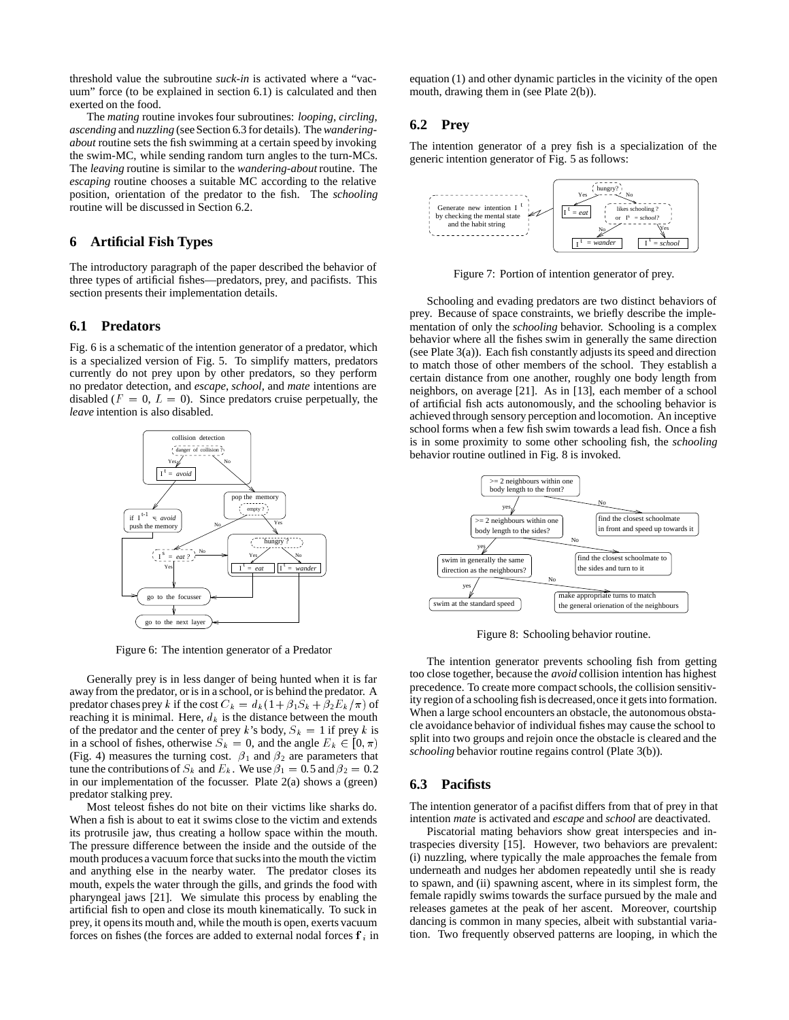threshold value the subroutine *suck-in* is activated where a "vacuum" force (to be explained in section 6.1) is calculated and then exerted on the food.

The *mating* routine invokes four subroutines: *looping*, *circling*, *ascending* and *nuzzling* (see Section 6.3 for details). The*wanderingabout* routine sets the fish swimming at a certain speed by invoking the swim-MC, while sending random turn angles to the turn-MCs. The *leaving* routine is similar to the *wandering-about* routine. The *escaping* routine chooses a suitable MC according to the relative position, orientation of the predator to the fish. The *schooling* routine will be discussed in Section 6.2.

## **6 Artificial Fish Types**

The introductory paragraph of the paper described the behavior of three types of artificial fishes—predators, prey, and pacifists. This section presents their implementation details.

#### **6.1 Predators**

Fig. 6 is a schematic of the intention generator of a predator, which is a specialized version of Fig. 5. To simplify matters, predators currently do not prey upon by other predators, so they perform no predator detection, and *escape*, *school*, and *mate* intentions are disabled ( $F = 0$ ,  $L = 0$ ). Since predators cruise perpetually, the *leave* intention is also disabled.



Figure 6: The intention generator of a Predator

Generally prey is in less danger of being hunted when it is far away from the predator, or is in a school, or is behind the predator. A predator chases prey k if the cost  $C_k = d_k(1 + \beta_1 S_k + \beta_2 E_k/\pi)$  of reaching it is minimal. Here,  $d_k$  is the distance between the mouth of the predator and the center of prey k's body,  $S_k = 1$  if prey k is in a school of fishes, otherwise  $S_k = 0$ , and the angle  $E_k \in [0, \pi)$ (Fig. 4) measures the turning cost.  $\beta_1$  and  $\beta_2$  are parameters that tune the contributions of  $S_k$  and  $E_k$ . We use  $\beta_1 = 0.5$  and  $\beta_2 = 0.2$ in our implementation of the focusser. Plate 2(a) shows a (green) predator stalking prey.

Most teleost fishes do not bite on their victims like sharks do. When a fish is about to eat it swims close to the victim and extends its protrusile jaw, thus creating a hollow space within the mouth. The pressure difference between the inside and the outside of the mouth produces a vacuum force that sucks into the mouth the victim and anything else in the nearby water. The predator closes its mouth, expels the water through the gills, and grinds the food with pharyngeal jaws [21]. We simulate this process by enabling the artificial fish to open and close its mouth kinematically. To suck in prey, it opens its mouth and, while the mouth is open, exerts vacuum forces on fishes (the forces are added to external nodal forces  $f_i$  in equation (1) and other dynamic particles in the vicinity of the open mouth, drawing them in (see Plate 2(b)).

#### **6.2 Prey**

The intention generator of a prey fish is a specialization of the generic intention generator of Fig. 5 as follows:



Figure 7: Portion of intention generator of prey.

Schooling and evading predators are two distinct behaviors of prey. Because of space constraints, we briefly describe the implementation of only the *schooling* behavior. Schooling is a complex behavior where all the fishes swim in generally the same direction (see Plate 3(a)). Each fish constantly adjusts its speed and direction to match those of other members of the school. They establish a certain distance from one another, roughly one body length from neighbors, on average [21]. As in [13], each member of a school of artificial fish acts autonomously, and the schooling behavior is achieved through sensory perception and locomotion. An inceptive school forms when a few fish swim towards a lead fish. Once a fish is in some proximity to some other schooling fish, the *schooling* behavior routine outlined in Fig. 8 is invoked.



Figure 8: Schooling behavior routine.

The intention generator prevents schooling fish from getting too close together, because the *avoid* collision intention has highest precedence. To create more compact schools, the collision sensitivity region of a schooling fish is decreased,once it gets into formation. When a large school encounters an obstacle, the autonomous obstacle avoidance behavior of individual fishes may cause the school to split into two groups and rejoin once the obstacle is cleared and the *schooling* behavior routine regains control (Plate 3(b)).

#### **6.3 Pacifists**

The intention generator of a pacifist differs from that of prey in that intention *mate* is activated and *escape* and *school* are deactivated.

Piscatorial mating behaviors show great interspecies and intraspecies diversity [15]. However, two behaviors are prevalent: (i) nuzzling, where typically the male approaches the female from underneath and nudges her abdomen repeatedly until she is ready to spawn, and (ii) spawning ascent, where in its simplest form, the female rapidly swims towards the surface pursued by the male and releases gametes at the peak of her ascent. Moreover, courtship dancing is common in many species, albeit with substantial variation. Two frequently observed patterns are looping, in which the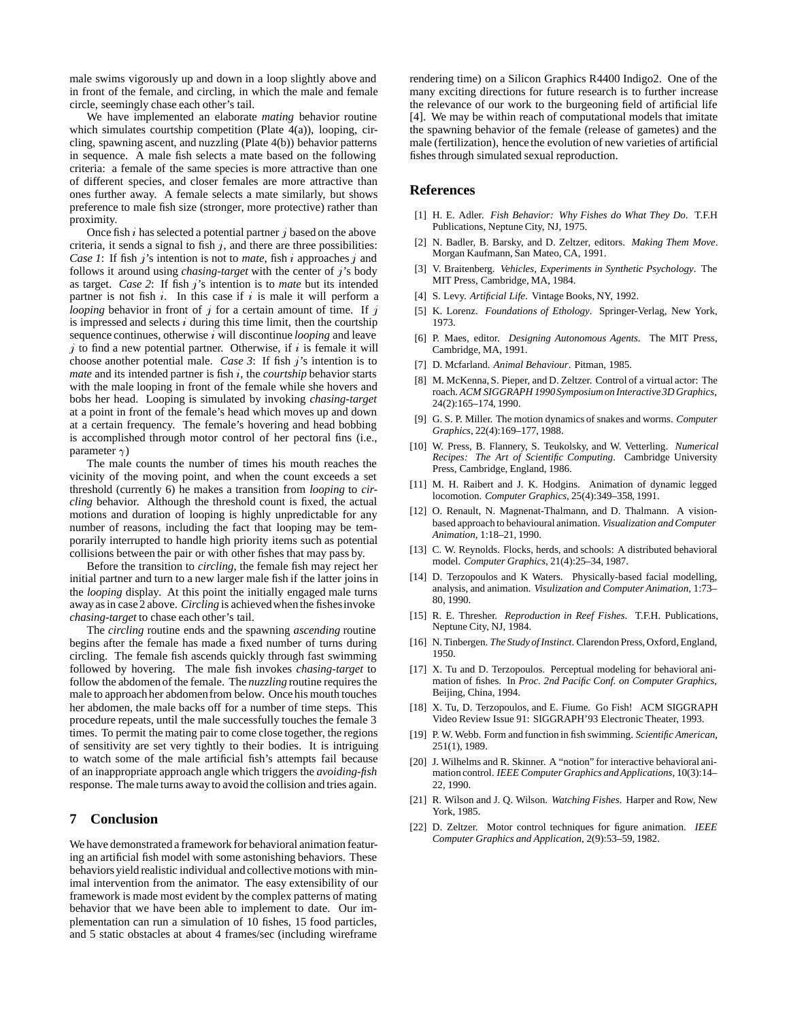male swims vigorously up and down in a loop slightly above and in front of the female, and circling, in which the male and female circle, seemingly chase each other's tail.

We have implemented an elaborate *mating* behavior routine which simulates courtship competition (Plate 4(a)), looping, circling, spawning ascent, and nuzzling (Plate 4(b)) behavior patterns in sequence. A male fish selects a mate based on the following criteria: a female of the same species is more attractive than one of different species, and closer females are more attractive than ones further away. A female selects a mate similarly, but shows preference to male fish size (stronger, more protective) rather than proximity.

Once fish  $i$  has selected a potential partner  $j$  based on the above criteria, it sends a signal to fish  $j$ , and there are three possibilities: *Case 1*: If fish *j*'s intention is not to *mate*, fish *i* approaches *j* and follows it around using *chasing-target* with the center of j's body as target. *Case 2*: If fish j's intention is to *mate* but its intended partner is not fish  $i$ . In this case if  $i$  is male it will perform a *looping* behavior in front of  $j$  for a certain amount of time. If  $j$ is impressed and selects  $i$  during this time limit, then the courtship sequence continues, otherwise i will discontinue *looping* and leave  $j$  to find a new potential partner. Otherwise, if  $i$  is female it will choose another potential male. *Case 3*: If fish j's intention is to *mate* and its intended partner is fish *i*, the *courtship* behavior starts with the male looping in front of the female while she hovers and bobs her head. Looping is simulated by invoking *chasing-target* at a point in front of the female's head which moves up and down at a certain frequency. The female's hovering and head bobbing is accomplished through motor control of her pectoral fins (i.e., parameter  $\gamma$ )

The male counts the number of times his mouth reaches the vicinity of the moving point, and when the count exceeds a set threshold (currently 6) he makes a transition from *looping* to *circling* behavior. Although the threshold count is fixed, the actual motions and duration of looping is highly unpredictable for any number of reasons, including the fact that looping may be temporarily interrupted to handle high priority items such as potential collisions between the pair or with other fishes that may pass by.

Before the transition to *circling*, the female fish may reject her initial partner and turn to a new larger male fish if the latter joins in the *looping* display. At this point the initially engaged male turns away as in case 2 above. *Circling* is achievedwhen the fishesinvoke *chasing-target* to chase each other's tail.

The *circling* routine ends and the spawning *ascending* routine begins after the female has made a fixed number of turns during circling. The female fish ascends quickly through fast swimming followed by hovering. The male fish invokes *chasing-target* to follow the abdomen of the female. The *nuzzling* routine requires the male to approach her abdomenfrom below. Once his mouth touches her abdomen, the male backs off for a number of time steps. This procedure repeats, until the male successfully touches the female 3 times. To permit the mating pair to come close together, the regions of sensitivity are set very tightly to their bodies. It is intriguing to watch some of the male artificial fish's attempts fail because of an inappropriate approach angle which triggers the *avoiding-fish* response. The male turns away to avoid the collision and tries again.

#### **7 Conclusion**

We have demonstrated a framework for behavioral animation featuring an artificial fish model with some astonishing behaviors. These behaviors yield realistic individual and collective motions with minimal intervention from the animator. The easy extensibility of our framework is made most evident by the complex patterns of mating behavior that we have been able to implement to date. Our implementation can run a simulation of 10 fishes, 15 food particles, and 5 static obstacles at about 4 frames/sec (including wireframe

rendering time) on a Silicon Graphics R4400 Indigo2. One of the many exciting directions for future research is to further increase the relevance of our work to the burgeoning field of artificial life [4]. We may be within reach of computational models that imitate the spawning behavior of the female (release of gametes) and the male (fertilization), hence the evolution of new varieties of artificial fishes through simulated sexual reproduction.

#### **References**

- [1] H. E. Adler. *Fish Behavior: Why Fishes do What They Do*. T.F.H Publications, Neptune City, NJ, 1975.
- [2] N. Badler, B. Barsky, and D. Zeltzer, editors. *Making Them Move*. Morgan Kaufmann, San Mateo, CA, 1991.
- [3] V. Braitenberg. *Vehicles, Experiments in Synthetic Psychology*. The MIT Press, Cambridge, MA, 1984.
- [4] S. Levy. *Artificial Life*. Vintage Books, NY, 1992.
- [5] K. Lorenz. *Foundations of Ethology*. Springer-Verlag, New York, 1973.
- [6] P. Maes, editor. *Designing Autonomous Agents*. The MIT Press, Cambridge, MA, 1991.
- [7] D. Mcfarland. *Animal Behaviour*. Pitman, 1985.
- [8] M. McKenna, S. Pieper, and D. Zeltzer. Control of a virtual actor: The roach. *ACM SIGGRAPH 1990Symposiumon Interactive3D Graphics*, 24(2):165–174, 1990.
- [9] G. S. P. Miller. The motion dynamics of snakes and worms. *Computer Graphics*, 22(4):169–177, 1988.
- [10] W. Press, B. Flannery, S. Teukolsky, and W. Vetterling. *Numerical Recipes: The Art of Scientific Computing*. Cambridge University Press, Cambridge, England, 1986.
- [11] M. H. Raibert and J. K. Hodgins. Animation of dynamic legged locomotion. *Computer Graphics*, 25(4):349–358, 1991.
- [12] O. Renault, N. Magnenat-Thalmann, and D. Thalmann. A visionbased approach to behavioural animation. *Visualization and Computer Animation*, 1:18–21, 1990.
- [13] C. W. Reynolds. Flocks, herds, and schools: A distributed behavioral model. *Computer Graphics*, 21(4):25–34, 1987.
- [14] D. Terzopoulos and K Waters. Physically-based facial modelling, analysis, and animation. *Visulization and Computer Animation*, 1:73– 80, 1990.
- [15] R. E. Thresher. *Reproduction in Reef Fishes*. T.F.H. Publications, Neptune City, NJ, 1984.
- [16] N. Tinbergen. *The Study of Instinct*. Clarendon Press, Oxford, England, 1950.
- [17] X. Tu and D. Terzopoulos. Perceptual modeling for behavioral animation of fishes. In *Proc. 2nd Pacific Conf. on Computer Graphics*, Beijing, China, 1994.
- [18] X. Tu, D. Terzopoulos, and E. Fiume. Go Fish! ACM SIGGRAPH Video Review Issue 91: SIGGRAPH'93 Electronic Theater, 1993.
- [19] P. W. Webb. Form and function in fish swimming. *Scientific American*, 251(1), 1989.
- [20] J. Wilhelms and R. Skinner. A "notion" for interactive behavioral animation control. *IEEE Computer Graphics and Applications*, 10(3):14– 22, 1990.
- [21] R. Wilson and J. Q. Wilson. *Watching Fishes*. Harper and Row, New York, 1985.
- [22] D. Zeltzer. Motor control techniques for figure animation. *IEEE Computer Graphics and Application*, 2(9):53–59, 1982.